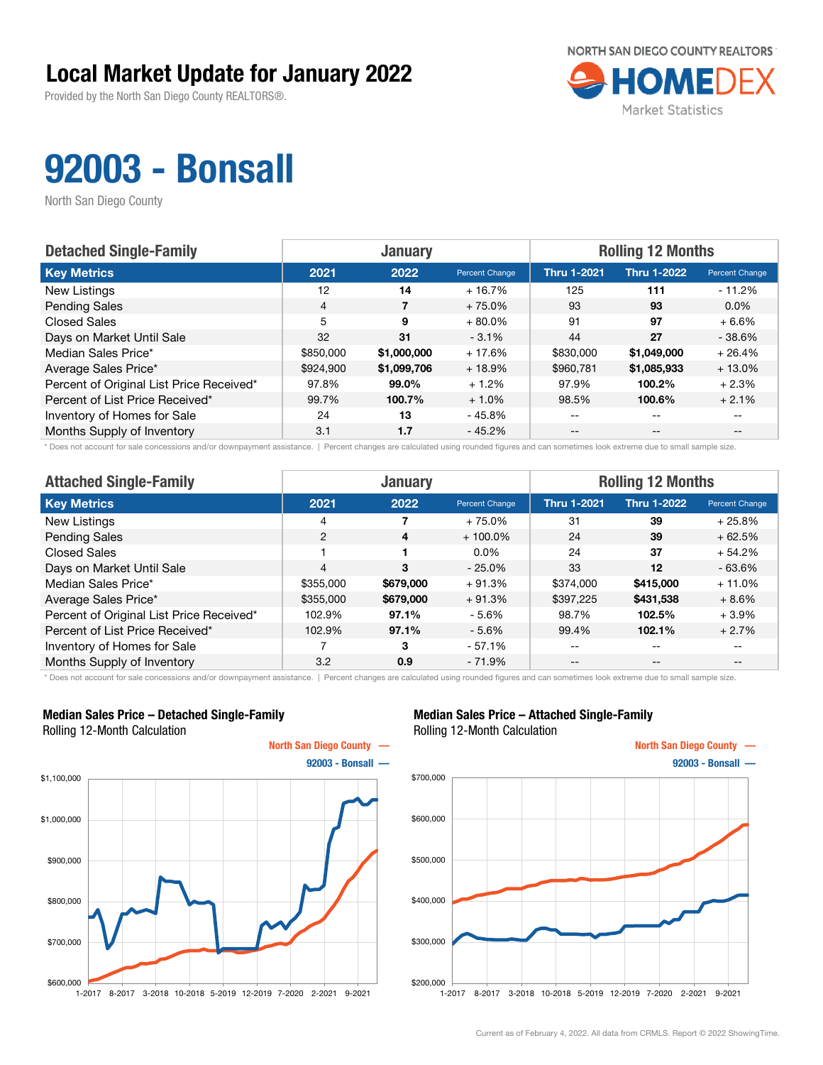Provided by the North San Diego County REALTORS®.



## 92003 - Bonsall

North San Diego County

| <b>Detached Single-Family</b>            | <b>January</b> |             |                | <b>Rolling 12 Months</b> |                    |                       |  |
|------------------------------------------|----------------|-------------|----------------|--------------------------|--------------------|-----------------------|--|
| <b>Key Metrics</b>                       | 2021           | 2022        | Percent Change | <b>Thru 1-2021</b>       | <b>Thru 1-2022</b> | <b>Percent Change</b> |  |
| New Listings                             | 12             | 14          | $+16.7%$       | 125                      | 111                | - 11.2%               |  |
| <b>Pending Sales</b>                     | $\overline{4}$ |             | $+75.0%$       | 93                       | 93                 | $0.0\%$               |  |
| <b>Closed Sales</b>                      | 5              | 9           | $+80.0%$       | 91                       | 97                 | $+6.6%$               |  |
| Days on Market Until Sale                | 32             | 31          | $-3.1%$        | 44                       | 27                 | $-38.6%$              |  |
| Median Sales Price*                      | \$850,000      | \$1,000,000 | $+17.6%$       | \$830,000                | \$1,049,000        | $+26.4%$              |  |
| Average Sales Price*                     | \$924,900      | \$1,099,706 | $+18.9%$       | \$960,781                | \$1,085,933        | $+13.0%$              |  |
| Percent of Original List Price Received* | 97.8%          | 99.0%       | $+1.2%$        | 97.9%                    | 100.2%             | $+2.3%$               |  |
| Percent of List Price Received*          | 99.7%          | 100.7%      | $+1.0%$        | 98.5%                    | 100.6%             | $+2.1%$               |  |
| Inventory of Homes for Sale              | 24             | 13          | - 45.8%        | --                       | $-$                |                       |  |
| Months Supply of Inventory               | 3.1            | 1.7         | $-45.2%$       | --                       | $- -$              |                       |  |

\* Does not account for sale concessions and/or downpayment assistance. | Percent changes are calculated using rounded figures and can sometimes look extreme due to small sample size.

| <b>Attached Single-Family</b>            |                | <b>January</b>          |                | <b>Rolling 12 Months</b> |                    |                |  |
|------------------------------------------|----------------|-------------------------|----------------|--------------------------|--------------------|----------------|--|
| <b>Key Metrics</b>                       | 2021           | 2022                    | Percent Change | <b>Thru 1-2021</b>       | <b>Thru 1-2022</b> | Percent Change |  |
| New Listings                             | 4              |                         | $+75.0%$       | 31                       | 39                 | $+25.8%$       |  |
| <b>Pending Sales</b>                     | 2              | $\overline{\mathbf{4}}$ | $+100.0\%$     | 24                       | 39                 | $+62.5%$       |  |
| Closed Sales                             |                |                         | $0.0\%$        | 24                       | 37                 | $+54.2%$       |  |
| Days on Market Until Sale                | $\overline{4}$ | 3                       | $-25.0%$       | 33                       | $12 \overline{ }$  | $-63.6%$       |  |
| Median Sales Price*                      | \$355,000      | \$679,000               | $+91.3%$       | \$374,000                | \$415,000          | $+11.0\%$      |  |
| Average Sales Price*                     | \$355,000      | \$679,000               | $+91.3%$       | \$397,225                | \$431,538          | $+8.6%$        |  |
| Percent of Original List Price Received* | 102.9%         | 97.1%                   | $-5.6%$        | 98.7%                    | 102.5%             | $+3.9%$        |  |
| Percent of List Price Received*          | 102.9%         | 97.1%                   | $-5.6%$        | 99.4%                    | 102.1%             | $+2.7%$        |  |
| Inventory of Homes for Sale              |                | 3                       | $-57.1%$       | --                       | --                 | --             |  |
| Months Supply of Inventory               | 3.2            | 0.9                     | $-71.9%$       | $- -$                    | $- -$              | $- -$          |  |

\* Does not account for sale concessions and/or downpayment assistance. | Percent changes are calculated using rounded figures and can sometimes look extreme due to small sample size.

#### Median Sales Price – Detached Single-Family Rolling 12-Month Calculation



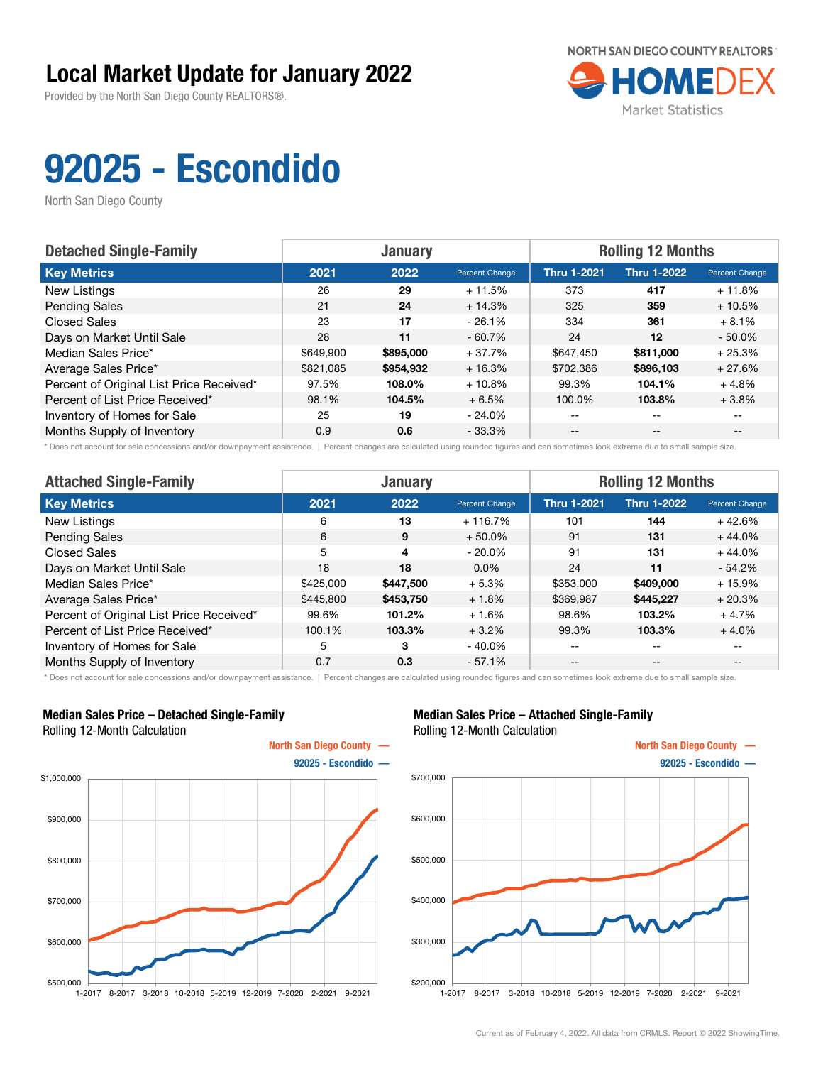Provided by the North San Diego County REALTORS®.



# 92025 - Escondido

North San Diego County

| <b>Detached Single-Family</b>            |           | <b>January</b> |                | <b>Rolling 12 Months</b> |                    |                       |
|------------------------------------------|-----------|----------------|----------------|--------------------------|--------------------|-----------------------|
| <b>Key Metrics</b>                       | 2021      | 2022           | Percent Change | <b>Thru 1-2021</b>       | <b>Thru 1-2022</b> | <b>Percent Change</b> |
| New Listings                             | 26        | 29             | $+11.5%$       | 373                      | 417                | $+11.8%$              |
| <b>Pending Sales</b>                     | 21        | 24             | $+14.3%$       | 325                      | 359                | $+10.5%$              |
| <b>Closed Sales</b>                      | 23        | 17             | $-26.1%$       | 334                      | 361                | $+8.1%$               |
| Days on Market Until Sale                | 28        | 11             | $-60.7%$       | 24                       | $12 \overline{ }$  | $-50.0\%$             |
| Median Sales Price*                      | \$649,900 | \$895,000      | $+37.7%$       | \$647,450                | \$811,000          | $+25.3%$              |
| Average Sales Price*                     | \$821,085 | \$954,932      | $+16.3%$       | \$702,386                | \$896,103          | $+27.6%$              |
| Percent of Original List Price Received* | 97.5%     | 108.0%         | $+10.8%$       | 99.3%                    | 104.1%             | $+4.8%$               |
| Percent of List Price Received*          | 98.1%     | 104.5%         | $+6.5%$        | 100.0%                   | 103.8%             | $+3.8%$               |
| Inventory of Homes for Sale              | 25        | 19             | $-24.0\%$      | $- -$                    | $\qquad \qquad -$  |                       |
| Months Supply of Inventory               | 0.9       | 0.6            | $-33.3%$       | $- -$                    | $- -$              |                       |

\* Does not account for sale concessions and/or downpayment assistance. | Percent changes are calculated using rounded figures and can sometimes look extreme due to small sample size.

| <b>Attached Single-Family</b>            |           | <b>January</b> |                | <b>Rolling 12 Months</b> |                    |                |  |
|------------------------------------------|-----------|----------------|----------------|--------------------------|--------------------|----------------|--|
| <b>Key Metrics</b>                       | 2021      | 2022           | Percent Change | <b>Thru 1-2021</b>       | <b>Thru 1-2022</b> | Percent Change |  |
| New Listings                             | 6         | 13             | $+116.7%$      | 101                      | 144                | $+42.6%$       |  |
| <b>Pending Sales</b>                     | 6         | 9              | $+50.0\%$      | 91                       | 131                | $+44.0%$       |  |
| <b>Closed Sales</b>                      | 5         | 4              | $-20.0\%$      | 91                       | 131                | $+44.0%$       |  |
| Days on Market Until Sale                | 18        | 18             | $0.0\%$        | 24                       | 11                 | $-54.2%$       |  |
| Median Sales Price*                      | \$425,000 | \$447,500      | $+5.3%$        | \$353,000                | \$409,000          | $+15.9%$       |  |
| Average Sales Price*                     | \$445,800 | \$453,750      | $+1.8%$        | \$369,987                | \$445.227          | $+20.3%$       |  |
| Percent of Original List Price Received* | 99.6%     | 101.2%         | $+1.6%$        | 98.6%                    | 103.2%             | $+4.7%$        |  |
| Percent of List Price Received*          | 100.1%    | 103.3%         | $+3.2%$        | 99.3%                    | 103.3%             | $+4.0%$        |  |
| Inventory of Homes for Sale              | 5         | 3              | $-40.0\%$      | --                       | $- -$              | $- -$          |  |
| Months Supply of Inventory               | 0.7       | 0.3            | $-57.1%$       | $ -$                     | $- -$              | --             |  |

\* Does not account for sale concessions and/or downpayment assistance. | Percent changes are calculated using rounded figures and can sometimes look extreme due to small sample size.

#### Median Sales Price – Detached Single-Family Rolling 12-Month Calculation



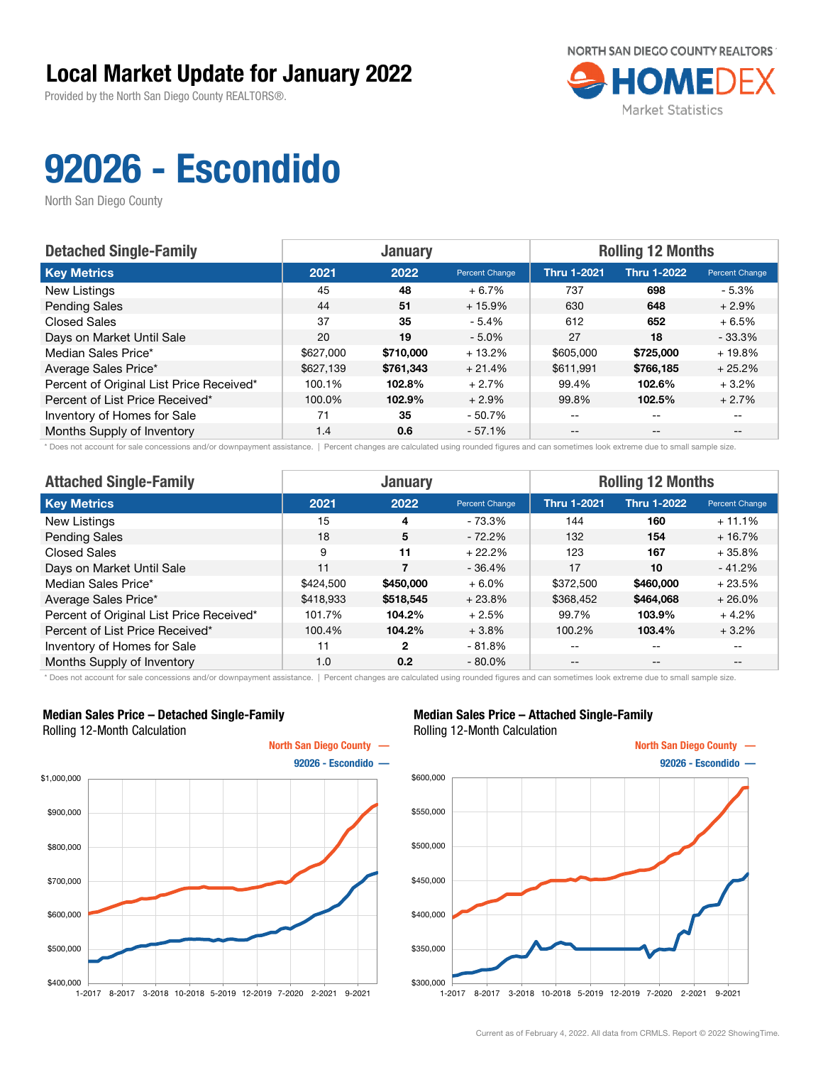Provided by the North San Diego County REALTORS®.



# 92026 - Escondido

North San Diego County

| <b>Detached Single-Family</b>            | <b>January</b> |           |                | <b>Rolling 12 Months</b> |                    |                       |
|------------------------------------------|----------------|-----------|----------------|--------------------------|--------------------|-----------------------|
| <b>Key Metrics</b>                       | 2021           | 2022      | Percent Change | <b>Thru 1-2021</b>       | <b>Thru 1-2022</b> | <b>Percent Change</b> |
| New Listings                             | 45             | 48        | $+6.7%$        | 737                      | 698                | - 5.3%                |
| <b>Pending Sales</b>                     | 44             | 51        | $+15.9%$       | 630                      | 648                | $+2.9%$               |
| <b>Closed Sales</b>                      | 37             | 35        | $-5.4%$        | 612                      | 652                | $+6.5%$               |
| Days on Market Until Sale                | 20             | 19        | $-5.0%$        | 27                       | 18                 | $-33.3%$              |
| Median Sales Price*                      | \$627,000      | \$710,000 | $+13.2%$       | \$605,000                | \$725,000          | $+19.8%$              |
| Average Sales Price*                     | \$627,139      | \$761,343 | $+21.4%$       | \$611,991                | \$766.185          | $+25.2%$              |
| Percent of Original List Price Received* | 100.1%         | 102.8%    | $+2.7%$        | 99.4%                    | 102.6%             | $+3.2%$               |
| Percent of List Price Received*          | 100.0%         | 102.9%    | $+2.9%$        | 99.8%                    | 102.5%             | $+2.7%$               |
| Inventory of Homes for Sale              | 71             | 35        | $-50.7\%$      | $- -$                    | $\qquad \qquad -$  |                       |
| Months Supply of Inventory               | 1.4            | 0.6       | $-57.1%$       | $- -$                    | $- -$              |                       |

\* Does not account for sale concessions and/or downpayment assistance. | Percent changes are calculated using rounded figures and can sometimes look extreme due to small sample size.

| <b>Attached Single-Family</b>            |           | <b>January</b> |                | <b>Rolling 12 Months</b> |                    |                |  |
|------------------------------------------|-----------|----------------|----------------|--------------------------|--------------------|----------------|--|
| <b>Key Metrics</b>                       | 2021      | 2022           | Percent Change | <b>Thru 1-2021</b>       | <b>Thru 1-2022</b> | Percent Change |  |
| New Listings                             | 15        | 4              | - 73.3%        | 144                      | 160                | $+11.1%$       |  |
| <b>Pending Sales</b>                     | 18        | 5              | $-72.2\%$      | 132                      | 154                | $+16.7%$       |  |
| Closed Sales                             | 9         | 11             | $+22.2%$       | 123                      | 167                | $+35.8%$       |  |
| Days on Market Until Sale                | 11        | $\overline{7}$ | $-36.4%$       | 17                       | 10                 | $-41.2%$       |  |
| Median Sales Price*                      | \$424,500 | \$450,000      | $+6.0%$        | \$372,500                | \$460,000          | $+23.5%$       |  |
| Average Sales Price*                     | \$418,933 | \$518,545      | $+23.8%$       | \$368,452                | \$464,068          | $+26.0%$       |  |
| Percent of Original List Price Received* | 101.7%    | 104.2%         | $+2.5%$        | 99.7%                    | 103.9%             | $+4.2%$        |  |
| Percent of List Price Received*          | 100.4%    | 104.2%         | $+3.8%$        | 100.2%                   | 103.4%             | $+3.2%$        |  |
| Inventory of Homes for Sale              | 11        | 2              | $-81.8%$       | --                       | $\qquad \qquad -$  | $- -$          |  |
| Months Supply of Inventory               | 1.0       | 0.2            | $-80.0\%$      | --                       | $\qquad \qquad -$  | $- -$          |  |

\* Does not account for sale concessions and/or downpayment assistance. | Percent changes are calculated using rounded figures and can sometimes look extreme due to small sample size.

#### Median Sales Price – Detached Single-Family Rolling 12-Month Calculation



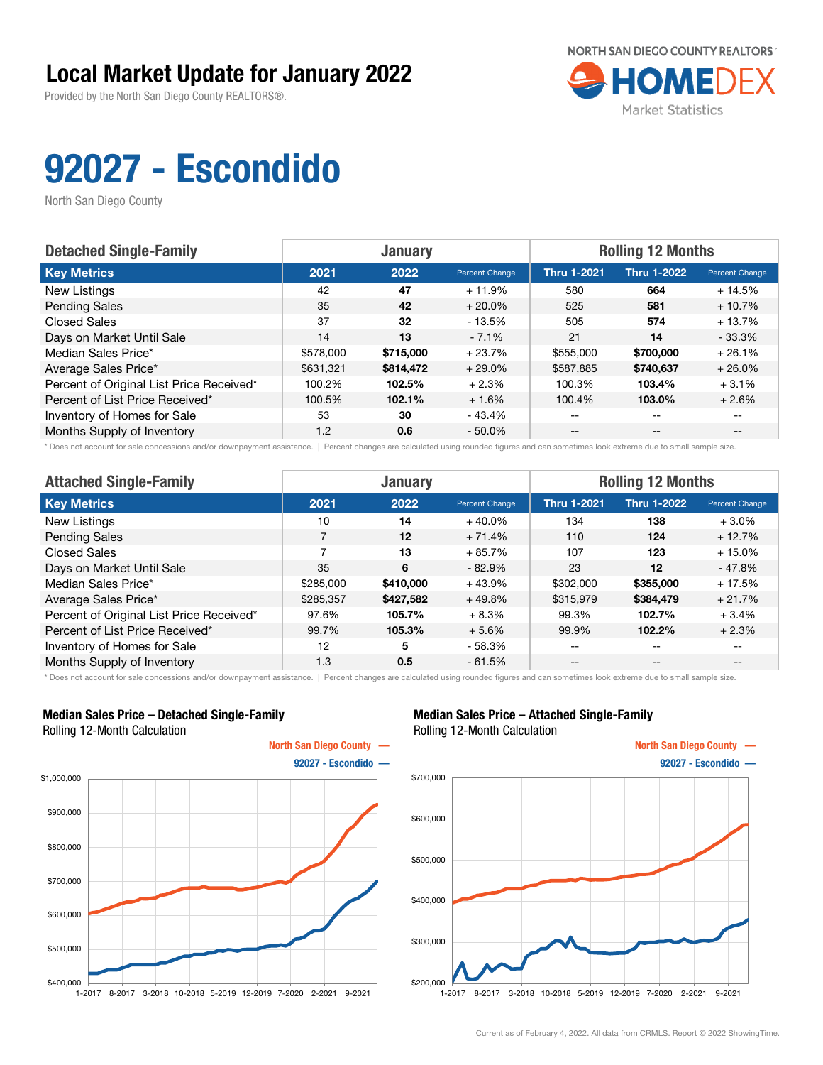Provided by the North San Diego County REALTORS®.



# 92027 - Escondido

North San Diego County

| <b>Detached Single-Family</b>            |           | <b>January</b> |                | <b>Rolling 12 Months</b> |                    |                |
|------------------------------------------|-----------|----------------|----------------|--------------------------|--------------------|----------------|
| <b>Key Metrics</b>                       | 2021      | 2022           | Percent Change | <b>Thru 1-2021</b>       | <b>Thru 1-2022</b> | Percent Change |
| New Listings                             | 42        | 47             | $+11.9%$       | 580                      | 664                | $+14.5%$       |
| <b>Pending Sales</b>                     | 35        | 42             | $+20.0\%$      | 525                      | 581                | $+10.7%$       |
| <b>Closed Sales</b>                      | 37        | 32             | - 13.5%        | 505                      | 574                | $+13.7%$       |
| Days on Market Until Sale                | 14        | 13             | $-7.1%$        | 21                       | 14                 | $-33.3%$       |
| Median Sales Price*                      | \$578,000 | \$715,000      | $+23.7%$       | \$555,000                | \$700,000          | $+26.1%$       |
| Average Sales Price*                     | \$631,321 | \$814,472      | $+29.0%$       | \$587,885                | \$740,637          | $+26.0%$       |
| Percent of Original List Price Received* | 100.2%    | 102.5%         | $+2.3%$        | 100.3%                   | 103.4%             | $+3.1%$        |
| Percent of List Price Received*          | 100.5%    | 102.1%         | $+1.6%$        | 100.4%                   | 103.0%             | $+2.6%$        |
| Inventory of Homes for Sale              | 53        | 30             | - 43.4%        | $- -$                    | $\qquad \qquad -$  |                |
| Months Supply of Inventory               | 1.2       | 0.6            | $-50.0\%$      | $- -$                    | $- -$              |                |

\* Does not account for sale concessions and/or downpayment assistance. | Percent changes are calculated using rounded figures and can sometimes look extreme due to small sample size.

| <b>Attached Single-Family</b>            |           | <b>January</b> |                | <b>Rolling 12 Months</b> |                    |                |  |
|------------------------------------------|-----------|----------------|----------------|--------------------------|--------------------|----------------|--|
| <b>Key Metrics</b>                       | 2021      | 2022           | Percent Change | <b>Thru 1-2021</b>       | <b>Thru 1-2022</b> | Percent Change |  |
| New Listings                             | 10        | 14             | $+40.0\%$      | 134                      | 138                | $+3.0\%$       |  |
| <b>Pending Sales</b>                     | 7         | 12             | $+71.4%$       | 110                      | 124                | $+12.7%$       |  |
| Closed Sales                             | 7         | 13             | $+85.7%$       | 107                      | 123                | $+15.0%$       |  |
| Days on Market Until Sale                | 35        | 6              | $-82.9%$       | 23                       | 12                 | $-47.8%$       |  |
| Median Sales Price*                      | \$285,000 | \$410,000      | $+43.9%$       | \$302,000                | \$355,000          | $+17.5%$       |  |
| Average Sales Price*                     | \$285,357 | \$427,582      | $+49.8%$       | \$315,979                | \$384,479          | $+21.7%$       |  |
| Percent of Original List Price Received* | 97.6%     | 105.7%         | $+8.3%$        | 99.3%                    | 102.7%             | $+3.4%$        |  |
| Percent of List Price Received*          | 99.7%     | 105.3%         | $+5.6%$        | 99.9%                    | 102.2%             | $+2.3%$        |  |
| Inventory of Homes for Sale              | 12        | 5              | $-58.3%$       | --                       | $\qquad \qquad -$  | $- -$          |  |
| Months Supply of Inventory               | 1.3       | 0.5            | $-61.5%$       | --                       | $\qquad \qquad -$  | $- -$          |  |

\* Does not account for sale concessions and/or downpayment assistance. | Percent changes are calculated using rounded figures and can sometimes look extreme due to small sample size.

#### Median Sales Price – Detached Single-Family Rolling 12-Month Calculation



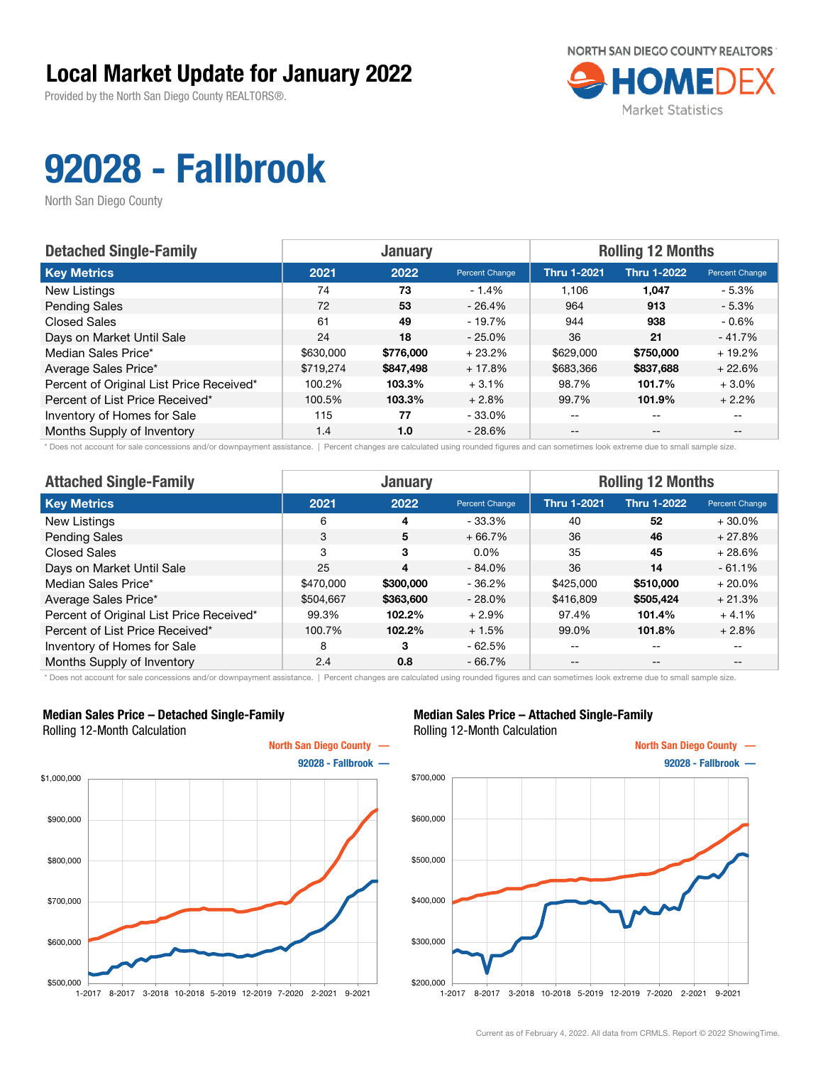Provided by the North San Diego County REALTORS®.



# 92028 - Fallbrook

North San Diego County

| <b>Detached Single-Family</b>            |           | <b>January</b> |                | <b>Rolling 12 Months</b> |                    |                       |
|------------------------------------------|-----------|----------------|----------------|--------------------------|--------------------|-----------------------|
| <b>Key Metrics</b>                       | 2021      | 2022           | Percent Change | <b>Thru 1-2021</b>       | <b>Thru 1-2022</b> | <b>Percent Change</b> |
| New Listings                             | 74        | 73             | $-1.4%$        | 1.106                    | 1,047              | - 5.3%                |
| <b>Pending Sales</b>                     | 72        | 53             | $-26.4%$       | 964                      | 913                | $-5.3\%$              |
| <b>Closed Sales</b>                      | 61        | 49             | - 19.7%        | 944                      | 938                | $-0.6%$               |
| Days on Market Until Sale                | 24        | 18             | $-25.0\%$      | 36                       | 21                 | $-41.7%$              |
| Median Sales Price*                      | \$630,000 | \$776,000      | $+23.2%$       | \$629,000                | \$750,000          | $+19.2%$              |
| Average Sales Price*                     | \$719.274 | \$847,498      | $+17.8%$       | \$683,366                | \$837,688          | $+22.6%$              |
| Percent of Original List Price Received* | 100.2%    | 103.3%         | $+3.1%$        | 98.7%                    | 101.7%             | $+3.0%$               |
| Percent of List Price Received*          | 100.5%    | 103.3%         | $+2.8%$        | 99.7%                    | 101.9%             | $+2.2%$               |
| Inventory of Homes for Sale              | 115       | 77             | $-33.0\%$      | --                       | --                 |                       |
| Months Supply of Inventory               | 1.4       | 1.0            | $-28.6\%$      | --                       | $-$                | $- -$                 |

\* Does not account for sale concessions and/or downpayment assistance. | Percent changes are calculated using rounded figures and can sometimes look extreme due to small sample size.

| <b>Attached Single-Family</b>            |           | <b>January</b> |                | <b>Rolling 12 Months</b> |                    |                |  |
|------------------------------------------|-----------|----------------|----------------|--------------------------|--------------------|----------------|--|
| <b>Key Metrics</b>                       | 2021      | 2022           | Percent Change | <b>Thru 1-2021</b>       | <b>Thru 1-2022</b> | Percent Change |  |
| New Listings                             | 6         | 4              | $-33.3\%$      | 40                       | 52                 | $+30.0\%$      |  |
| <b>Pending Sales</b>                     | 3         | 5              | $+66.7%$       | 36                       | 46                 | $+27.8%$       |  |
| <b>Closed Sales</b>                      | 3         | 3              | $0.0\%$        | 35                       | 45                 | $+28.6%$       |  |
| Days on Market Until Sale                | 25        | 4              | $-84.0%$       | 36                       | 14                 | $-61.1%$       |  |
| Median Sales Price*                      | \$470,000 | \$300,000      | $-36.2%$       | \$425,000                | \$510,000          | $+20.0\%$      |  |
| Average Sales Price*                     | \$504,667 | \$363,600      | $-28.0\%$      | \$416,809                | \$505,424          | $+21.3%$       |  |
| Percent of Original List Price Received* | 99.3%     | 102.2%         | $+2.9%$        | 97.4%                    | 101.4%             | $+4.1%$        |  |
| Percent of List Price Received*          | 100.7%    | 102.2%         | $+1.5%$        | 99.0%                    | 101.8%             | $+2.8%$        |  |
| Inventory of Homes for Sale              | 8         | 3              | $-62.5%$       | --                       | $- -$              | $- -$          |  |
| Months Supply of Inventory               | 2.4       | 0.8            | $-66.7%$       | $ -$                     | $- -$              | --             |  |

\* Does not account for sale concessions and/or downpayment assistance. | Percent changes are calculated using rounded figures and can sometimes look extreme due to small sample size.

#### Median Sales Price – Detached Single-Family Rolling 12-Month Calculation



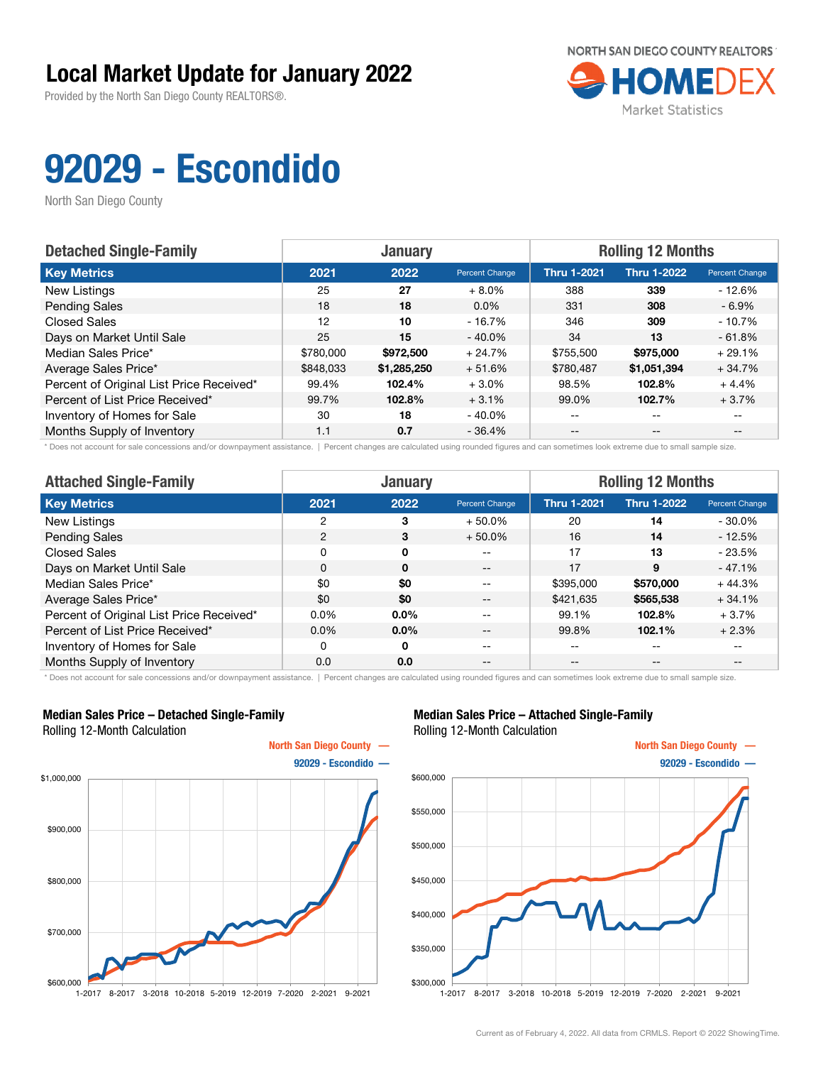Provided by the North San Diego County REALTORS®.



# 92029 - Escondido

North San Diego County

| <b>Detached Single-Family</b>            |           | <b>January</b> |                | <b>Rolling 12 Months</b> |                    |                |  |
|------------------------------------------|-----------|----------------|----------------|--------------------------|--------------------|----------------|--|
| <b>Key Metrics</b>                       | 2021      | 2022           | Percent Change | <b>Thru 1-2021</b>       | <b>Thru 1-2022</b> | Percent Change |  |
| New Listings                             | 25        | 27             | $+8.0\%$       | 388                      | 339                | $-12.6%$       |  |
| <b>Pending Sales</b>                     | 18        | 18             | $0.0\%$        | 331                      | 308                | - 6.9%         |  |
| <b>Closed Sales</b>                      | 12        | 10             | $-16.7\%$      | 346                      | 309                | $-10.7%$       |  |
| Days on Market Until Sale                | 25        | 15             | $-40.0\%$      | 34                       | 13                 | $-61.8%$       |  |
| Median Sales Price*                      | \$780,000 | \$972,500      | $+24.7%$       | \$755,500                | \$975,000          | $+29.1%$       |  |
| Average Sales Price*                     | \$848,033 | \$1,285,250    | $+51.6%$       | \$780,487                | \$1,051,394        | $+34.7%$       |  |
| Percent of Original List Price Received* | 99.4%     | 102.4%         | $+3.0\%$       | 98.5%                    | 102.8%             | $+4.4%$        |  |
| Percent of List Price Received*          | 99.7%     | 102.8%         | $+3.1%$        | 99.0%                    | 102.7%             | $+3.7%$        |  |
| Inventory of Homes for Sale              | 30        | 18             | $-40.0\%$      | $- -$                    | $-$                |                |  |
| Months Supply of Inventory               | 1.1       | 0.7            | $-36.4%$       | $- -$                    | $- -$              |                |  |

\* Does not account for sale concessions and/or downpayment assistance. | Percent changes are calculated using rounded figures and can sometimes look extreme due to small sample size.

| <b>Attached Single-Family</b>            | <b>January</b> |              |                | <b>Rolling 12 Months</b> |                    |                |  |
|------------------------------------------|----------------|--------------|----------------|--------------------------|--------------------|----------------|--|
| <b>Key Metrics</b>                       | 2021           | 2022         | Percent Change | <b>Thru 1-2021</b>       | <b>Thru 1-2022</b> | Percent Change |  |
| New Listings                             | 2              | 3            | $+50.0%$       | 20                       | 14                 | $-30.0\%$      |  |
| <b>Pending Sales</b>                     | 2              | 3            | $+50.0\%$      | 16                       | 14                 | $-12.5%$       |  |
| <b>Closed Sales</b>                      | 0              | 0            | --             | 17                       | 13                 | $-23.5%$       |  |
| Days on Market Until Sale                | 0              | $\mathbf{0}$ | $- -$          | 17                       | 9                  | $-47.1%$       |  |
| Median Sales Price*                      | \$0            | \$0          | $- -$          | \$395,000                | \$570,000          | $+44.3%$       |  |
| Average Sales Price*                     | \$0            | \$0          | $- -$          | \$421,635                | \$565,538          | $+34.1%$       |  |
| Percent of Original List Price Received* | 0.0%           | $0.0\%$      | --             | 99.1%                    | 102.8%             | $+3.7%$        |  |
| Percent of List Price Received*          | $0.0\%$        | $0.0\%$      | $- -$          | 99.8%                    | 102.1%             | $+2.3%$        |  |
| Inventory of Homes for Sale              | 0              | 0            | $- -$          | --                       | --                 | $- -$          |  |
| Months Supply of Inventory               | 0.0            | 0.0          | $- -$          | --                       | $- -$              | $- -$          |  |

\* Does not account for sale concessions and/or downpayment assistance. | Percent changes are calculated using rounded figures and can sometimes look extreme due to small sample size.

#### Median Sales Price – Detached Single-Family Rolling 12-Month Calculation



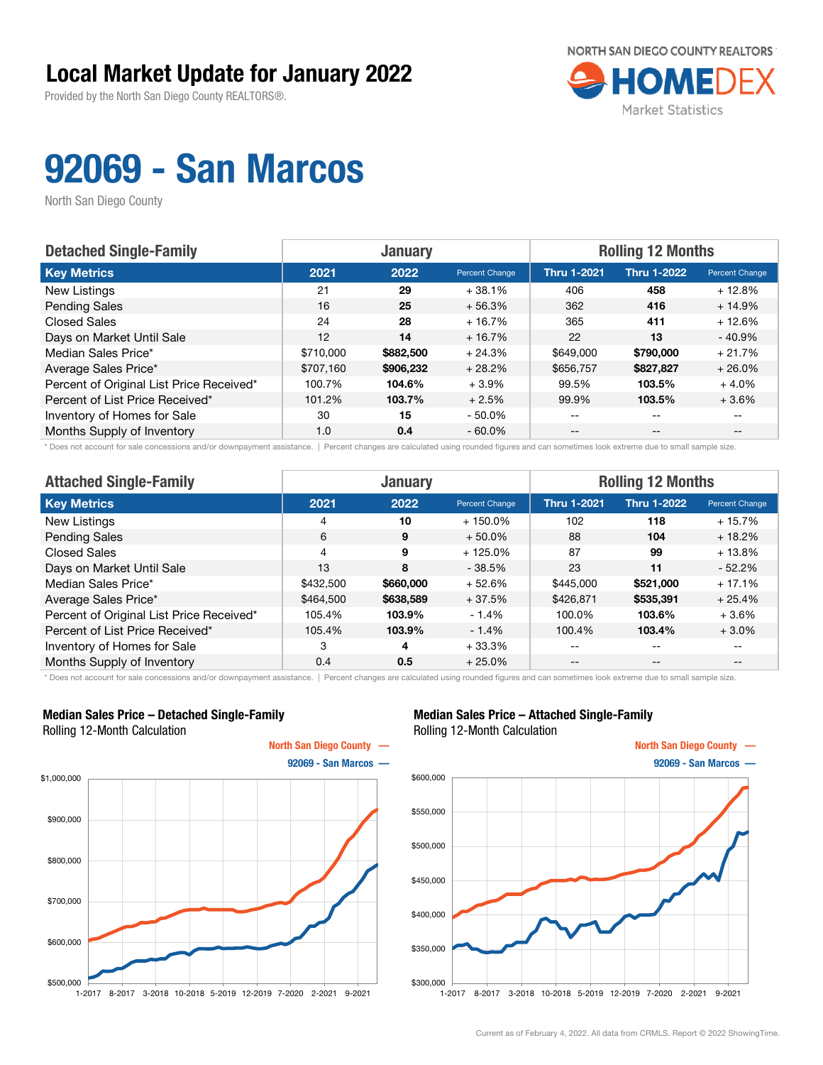Provided by the North San Diego County REALTORS®.



## 92069 - San Marcos

North San Diego County

| <b>Detached Single-Family</b>            |           | <b>January</b> |                | <b>Rolling 12 Months</b> |                    |                |  |
|------------------------------------------|-----------|----------------|----------------|--------------------------|--------------------|----------------|--|
| <b>Key Metrics</b>                       | 2021      | 2022           | Percent Change | <b>Thru 1-2021</b>       | <b>Thru 1-2022</b> | Percent Change |  |
| New Listings                             | 21        | 29             | $+38.1%$       | 406                      | 458                | $+12.8%$       |  |
| <b>Pending Sales</b>                     | 16        | 25             | $+56.3%$       | 362                      | 416                | $+14.9%$       |  |
| <b>Closed Sales</b>                      | 24        | 28             | $+16.7%$       | 365                      | 411                | $+12.6%$       |  |
| Days on Market Until Sale                | 12        | 14             | $+16.7%$       | 22                       | 13                 | $-40.9%$       |  |
| Median Sales Price*                      | \$710,000 | \$882,500      | $+24.3%$       | \$649,000                | \$790,000          | $+21.7%$       |  |
| Average Sales Price*                     | \$707.160 | \$906,232      | $+28.2%$       | \$656,757                | \$827,827          | $+26.0%$       |  |
| Percent of Original List Price Received* | 100.7%    | 104.6%         | $+3.9\%$       | 99.5%                    | 103.5%             | $+4.0%$        |  |
| Percent of List Price Received*          | 101.2%    | 103.7%         | $+2.5%$        | 99.9%                    | 103.5%             | $+3.6%$        |  |
| Inventory of Homes for Sale              | 30        | 15             | $-50.0\%$      | --                       | --                 |                |  |
| Months Supply of Inventory               | 1.0       | 0.4            | $-60.0\%$      | --                       | $-$                | $- -$          |  |

\* Does not account for sale concessions and/or downpayment assistance. | Percent changes are calculated using rounded figures and can sometimes look extreme due to small sample size.

| <b>Attached Single-Family</b>            |                | <b>January</b> |                | <b>Rolling 12 Months</b> |                    |                                       |  |
|------------------------------------------|----------------|----------------|----------------|--------------------------|--------------------|---------------------------------------|--|
| <b>Key Metrics</b>                       | 2021           | 2022           | Percent Change | <b>Thru 1-2021</b>       | <b>Thru 1-2022</b> | Percent Change                        |  |
| New Listings                             | 4              | 10             | $+150.0\%$     | 102                      | 118                | $+15.7%$                              |  |
| <b>Pending Sales</b>                     | 6              | 9              | $+50.0\%$      | 88                       | 104                | $+18.2%$                              |  |
| <b>Closed Sales</b>                      | $\overline{4}$ | 9              | $+125.0%$      | 87                       | 99                 | $+13.8%$                              |  |
| Days on Market Until Sale                | 13             | 8              | $-38.5%$       | 23                       | 11                 | $-52.2%$                              |  |
| Median Sales Price*                      | \$432,500      | \$660,000      | $+52.6%$       | \$445,000                | \$521,000          | + 17.1%                               |  |
| Average Sales Price*                     | \$464,500      | \$638,589      | $+37.5%$       | \$426,871                | \$535,391          | $+25.4%$                              |  |
| Percent of Original List Price Received* | 105.4%         | 103.9%         | $-1.4\%$       | 100.0%                   | 103.6%             | $+3.6%$                               |  |
| Percent of List Price Received*          | 105.4%         | 103.9%         | $-1.4%$        | 100.4%                   | 103.4%             | $+3.0%$                               |  |
| Inventory of Homes for Sale              | 3              | 4              | $+33.3%$       | --                       | $- -$              | --                                    |  |
| Months Supply of Inventory               | 0.4            | 0.5            | $+25.0%$       | $- -$                    | $\qquad \qquad -$  | $\hspace{0.05cm}$ – $\hspace{0.05cm}$ |  |

\* Does not account for sale concessions and/or downpayment assistance. | Percent changes are calculated using rounded figures and can sometimes look extreme due to small sample size.

#### Median Sales Price – Detached Single-Family Rolling 12-Month Calculation



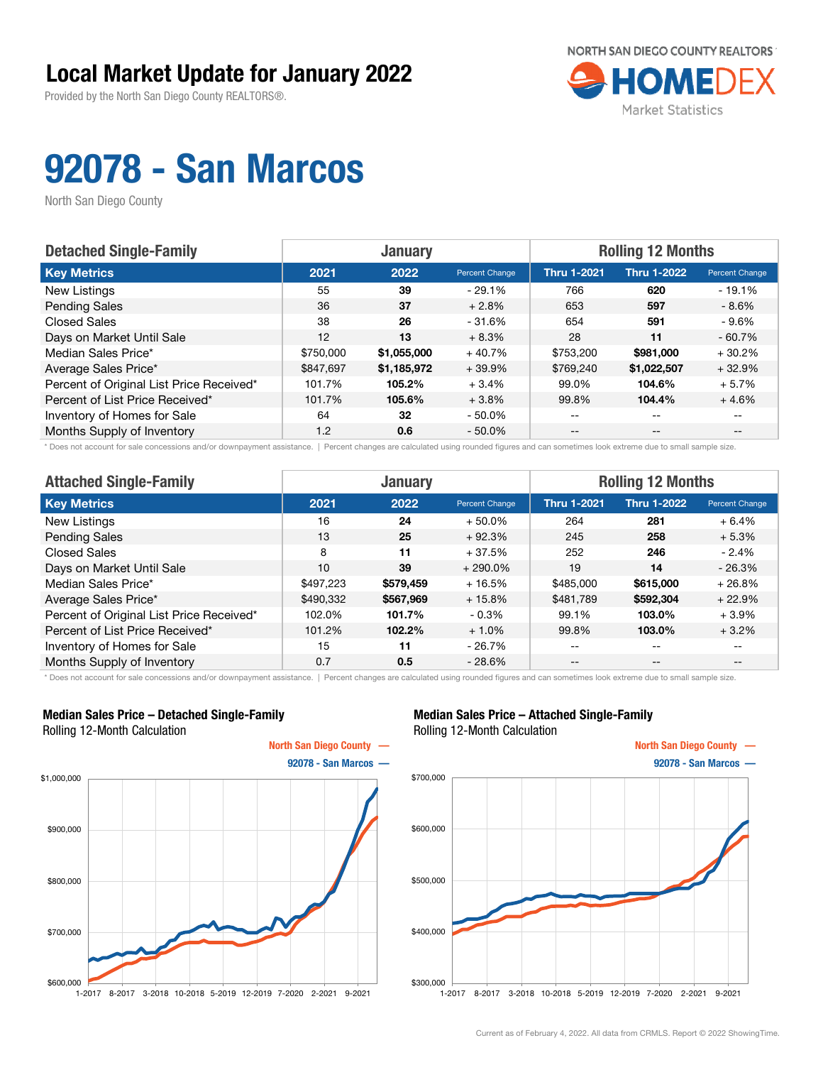Provided by the North San Diego County REALTORS®.



# 92078 - San Marcos

North San Diego County

| <b>Detached Single-Family</b>            |           | <b>January</b> |                | <b>Rolling 12 Months</b> |                    |                |  |
|------------------------------------------|-----------|----------------|----------------|--------------------------|--------------------|----------------|--|
| <b>Key Metrics</b>                       | 2021      | 2022           | Percent Change | <b>Thru 1-2021</b>       | <b>Thru 1-2022</b> | Percent Change |  |
| New Listings                             | 55        | 39             | $-29.1%$       | 766                      | 620                | $-19.1%$       |  |
| <b>Pending Sales</b>                     | 36        | 37             | $+2.8%$        | 653                      | 597                | - 8.6%         |  |
| <b>Closed Sales</b>                      | 38        | 26             | $-31.6%$       | 654                      | 591                | - 9.6%         |  |
| Days on Market Until Sale                | 12        | 13             | $+8.3%$        | 28                       | 11                 | $-60.7%$       |  |
| Median Sales Price*                      | \$750,000 | \$1,055,000    | $+40.7%$       | \$753,200                | \$981,000          | $+30.2%$       |  |
| Average Sales Price*                     | \$847.697 | \$1,185,972    | $+39.9%$       | \$769,240                | \$1,022,507        | $+32.9%$       |  |
| Percent of Original List Price Received* | 101.7%    | 105.2%         | $+3.4%$        | 99.0%                    | 104.6%             | $+5.7%$        |  |
| Percent of List Price Received*          | 101.7%    | 105.6%         | $+3.8%$        | 99.8%                    | 104.4%             | $+4.6%$        |  |
| Inventory of Homes for Sale              | 64        | 32             | $-50.0\%$      | $- -$                    | $-$                |                |  |
| Months Supply of Inventory               | 1.2       | 0.6            | $-50.0\%$      | $- -$                    | $- -$              |                |  |

\* Does not account for sale concessions and/or downpayment assistance. | Percent changes are calculated using rounded figures and can sometimes look extreme due to small sample size.

| <b>Attached Single-Family</b>            |           | <b>January</b> |                | <b>Rolling 12 Months</b> |                    |                |  |
|------------------------------------------|-----------|----------------|----------------|--------------------------|--------------------|----------------|--|
| <b>Key Metrics</b>                       | 2021      | 2022           | Percent Change | <b>Thru 1-2021</b>       | <b>Thru 1-2022</b> | Percent Change |  |
| New Listings                             | 16        | 24             | $+50.0%$       | 264                      | 281                | $+6.4%$        |  |
| <b>Pending Sales</b>                     | 13        | 25             | $+92.3%$       | 245                      | 258                | $+5.3%$        |  |
| <b>Closed Sales</b>                      | 8         | 11             | $+37.5%$       | 252                      | 246                | $-2.4\%$       |  |
| Days on Market Until Sale                | 10        | 39             | $+290.0\%$     | 19                       | 14                 | $-26.3%$       |  |
| Median Sales Price*                      | \$497.223 | \$579.459      | $+16.5%$       | \$485,000                | \$615,000          | $+26.8%$       |  |
| Average Sales Price*                     | \$490,332 | \$567,969      | $+15.8%$       | \$481,789                | \$592,304          | $+22.9%$       |  |
| Percent of Original List Price Received* | 102.0%    | 101.7%         | $-0.3\%$       | 99.1%                    | 103.0%             | $+3.9\%$       |  |
| Percent of List Price Received*          | 101.2%    | 102.2%         | $+1.0%$        | 99.8%                    | 103.0%             | $+3.2%$        |  |
| Inventory of Homes for Sale              | 15        | 11             | $-26.7%$       | --                       | $- -$              | $- -$          |  |
| Months Supply of Inventory               | 0.7       | 0.5            | $-28.6%$       | $- -$                    | $\qquad \qquad -$  | $- -$          |  |

\* Does not account for sale concessions and/or downpayment assistance. | Percent changes are calculated using rounded figures and can sometimes look extreme due to small sample size.

#### Median Sales Price – Detached Single-Family Rolling 12-Month Calculation



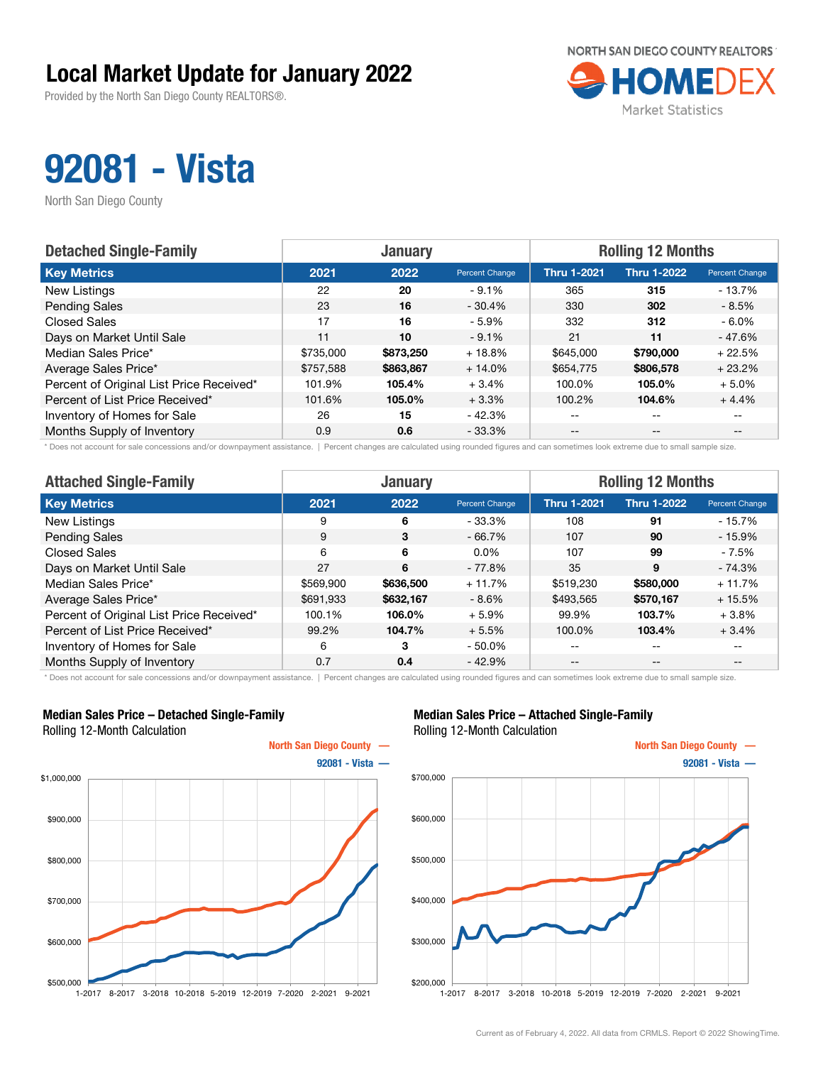Provided by the North San Diego County REALTORS®.



## 92081 - Vista

North San Diego County

| <b>Detached Single-Family</b>            |           | <b>January</b> |                | <b>Rolling 12 Months</b> |                    |                       |  |
|------------------------------------------|-----------|----------------|----------------|--------------------------|--------------------|-----------------------|--|
| <b>Key Metrics</b>                       | 2021      | 2022           | Percent Change | <b>Thru 1-2021</b>       | <b>Thru 1-2022</b> | <b>Percent Change</b> |  |
| New Listings                             | 22        | 20             | $-9.1%$        | 365                      | 315                | $-13.7%$              |  |
| <b>Pending Sales</b>                     | 23        | 16             | $-30.4%$       | 330                      | 302                | $-8.5%$               |  |
| <b>Closed Sales</b>                      | 17        | 16             | $-5.9%$        | 332                      | 312                | $-6.0\%$              |  |
| Days on Market Until Sale                | 11        | 10             | $-9.1%$        | 21                       | 11                 | $-47.6%$              |  |
| Median Sales Price*                      | \$735,000 | \$873,250      | $+18.8%$       | \$645,000                | \$790,000          | $+22.5%$              |  |
| Average Sales Price*                     | \$757.588 | \$863,867      | $+14.0%$       | \$654,775                | \$806,578          | $+23.2%$              |  |
| Percent of Original List Price Received* | 101.9%    | 105.4%         | $+3.4%$        | 100.0%                   | 105.0%             | $+5.0%$               |  |
| Percent of List Price Received*          | 101.6%    | 105.0%         | $+3.3%$        | 100.2%                   | 104.6%             | $+4.4%$               |  |
| Inventory of Homes for Sale              | 26        | 15             | $-42.3%$       | $- -$                    | $\qquad \qquad -$  | $- -$                 |  |
| Months Supply of Inventory               | 0.9       | 0.6            | $-33.3%$       | $- -$                    | $- -$              |                       |  |

\* Does not account for sale concessions and/or downpayment assistance. | Percent changes are calculated using rounded figures and can sometimes look extreme due to small sample size.

| <b>Attached Single-Family</b>            |           | <b>January</b> |                | <b>Rolling 12 Months</b> |                    |                |  |
|------------------------------------------|-----------|----------------|----------------|--------------------------|--------------------|----------------|--|
| <b>Key Metrics</b>                       | 2021      | 2022           | Percent Change | <b>Thru 1-2021</b>       | <b>Thru 1-2022</b> | Percent Change |  |
| New Listings                             | 9         | 6              | $-33.3%$       | 108                      | 91                 | $-15.7%$       |  |
| <b>Pending Sales</b>                     | 9         | 3              | $-66.7%$       | 107                      | 90                 | $-15.9%$       |  |
| <b>Closed Sales</b>                      | 6         | 6              | $0.0\%$        | 107                      | 99                 | - 7.5%         |  |
| Days on Market Until Sale                | 27        | 6              | - 77.8%        | 35                       | 9                  | $-74.3%$       |  |
| Median Sales Price*                      | \$569,900 | \$636,500      | $+11.7%$       | \$519,230                | \$580,000          | $+11.7%$       |  |
| Average Sales Price*                     | \$691,933 | \$632,167      | $-8.6\%$       | \$493,565                | \$570,167          | $+15.5%$       |  |
| Percent of Original List Price Received* | 100.1%    | 106.0%         | $+5.9%$        | 99.9%                    | 103.7%             | $+3.8\%$       |  |
| Percent of List Price Received*          | 99.2%     | 104.7%         | $+5.5%$        | 100.0%                   | 103.4%             | $+3.4%$        |  |
| Inventory of Homes for Sale              | 6         | 3              | $-50.0\%$      | --                       | $\qquad \qquad -$  | $- -$          |  |
| Months Supply of Inventory               | 0.7       | 0.4            | $-42.9%$       | $- -$                    | $\qquad \qquad -$  | $- -$          |  |

\* Does not account for sale concessions and/or downpayment assistance. | Percent changes are calculated using rounded figures and can sometimes look extreme due to small sample size.

#### Median Sales Price – Detached Single-Family Rolling 12-Month Calculation



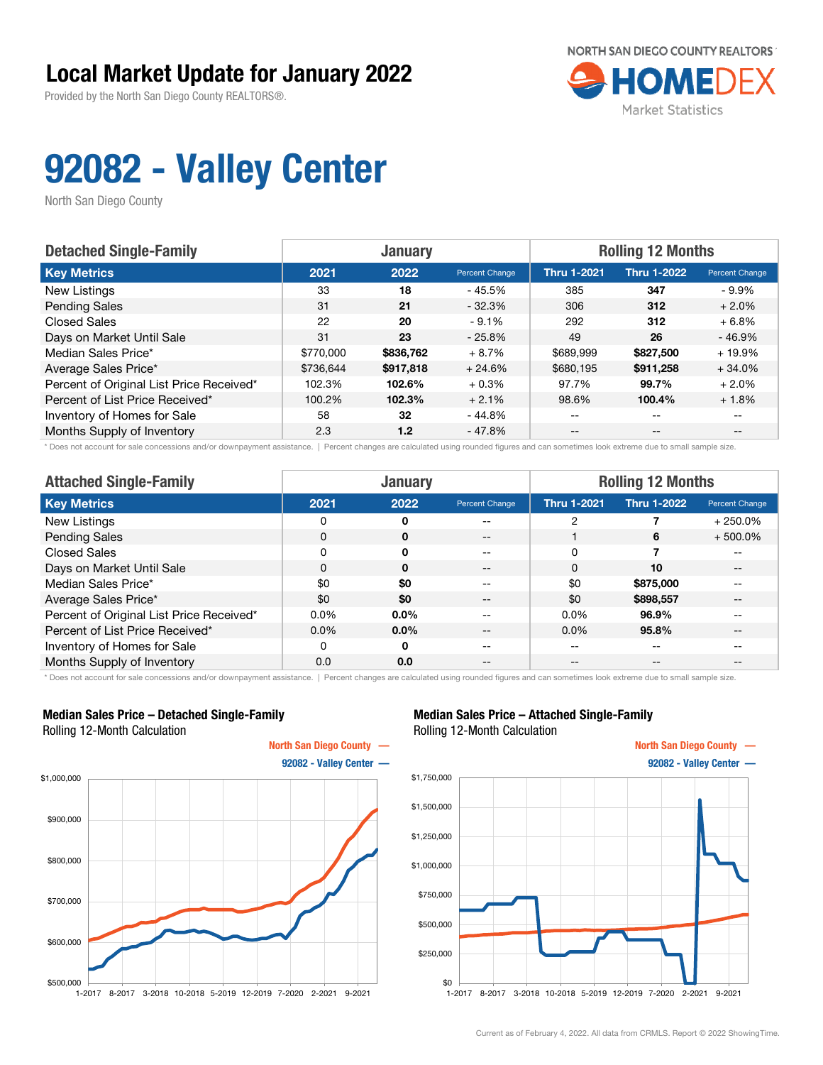Provided by the North San Diego County REALTORS®.



# 92082 - Valley Center

North San Diego County

| <b>Detached Single-Family</b>            |           | <b>January</b> |                | <b>Rolling 12 Months</b> |                    |                |  |
|------------------------------------------|-----------|----------------|----------------|--------------------------|--------------------|----------------|--|
| <b>Key Metrics</b>                       | 2021      | 2022           | Percent Change | <b>Thru 1-2021</b>       | <b>Thru 1-2022</b> | Percent Change |  |
| New Listings                             | 33        | 18             | - 45.5%        | 385                      | 347                | - 9.9%         |  |
| <b>Pending Sales</b>                     | 31        | 21             | $-32.3%$       | 306                      | 312                | $+2.0%$        |  |
| <b>Closed Sales</b>                      | 22        | 20             | $-9.1%$        | 292                      | 312                | $+6.8%$        |  |
| Days on Market Until Sale                | 31        | 23             | $-25.8%$       | 49                       | 26                 | $-46.9%$       |  |
| Median Sales Price*                      | \$770,000 | \$836,762      | $+8.7%$        | \$689,999                | \$827,500          | $+19.9%$       |  |
| Average Sales Price*                     | \$736.644 | \$917,818      | $+24.6%$       | \$680,195                | \$911,258          | $+34.0%$       |  |
| Percent of Original List Price Received* | 102.3%    | 102.6%         | $+0.3%$        | 97.7%                    | 99.7%              | $+2.0%$        |  |
| Percent of List Price Received*          | 100.2%    | 102.3%         | $+2.1%$        | 98.6%                    | 100.4%             | $+1.8%$        |  |
| Inventory of Homes for Sale              | 58        | 32             | - 44.8%        | $- -$                    | $-$                |                |  |
| Months Supply of Inventory               | 2.3       | 1.2            | $-47.8%$       | $- -$                    | $- -$              |                |  |

\* Does not account for sale concessions and/or downpayment assistance. | Percent changes are calculated using rounded figures and can sometimes look extreme due to small sample size.

| <b>Attached Single-Family</b>            | <b>January</b> |             |                       | <b>Rolling 12 Months</b> |                    |                          |  |
|------------------------------------------|----------------|-------------|-----------------------|--------------------------|--------------------|--------------------------|--|
| <b>Key Metrics</b>                       | 2021           | 2022        | <b>Percent Change</b> | <b>Thru 1-2021</b>       | <b>Thru 1-2022</b> | Percent Change           |  |
| New Listings                             | 0              | 0           | --                    | 2                        |                    | $+250.0%$                |  |
| <b>Pending Sales</b>                     | 0              | $\mathbf 0$ | $- -$                 |                          | 6                  | $+500.0%$                |  |
| Closed Sales                             | 0              | $\Omega$    | --                    | 0                        |                    | $- -$                    |  |
| Days on Market Until Sale                | 0              | $\mathbf 0$ | $- -$                 | 0                        | 10                 | $--$                     |  |
| Median Sales Price*                      | \$0            | \$0         | --                    | \$0                      | \$875,000          | $- -$                    |  |
| Average Sales Price*                     | \$0            | \$0         | $- -$                 | \$0                      | \$898,557          | $\overline{\phantom{m}}$ |  |
| Percent of Original List Price Received* | $0.0\%$        | 0.0%        | --                    | $0.0\%$                  | 96.9%              | $- -$                    |  |
| Percent of List Price Received*          | $0.0\%$        | $0.0\%$     |                       | $0.0\%$                  | 95.8%              | $- -$                    |  |
| Inventory of Homes for Sale              | 0              | 0           | --                    | --                       | --                 | $- -$                    |  |
| Months Supply of Inventory               | 0.0            | 0.0         | --                    |                          | --                 | $- -$                    |  |

\* Does not account for sale concessions and/or downpayment assistance. | Percent changes are calculated using rounded figures and can sometimes look extreme due to small sample size.

#### Median Sales Price – Detached Single-Family Rolling 12-Month Calculation



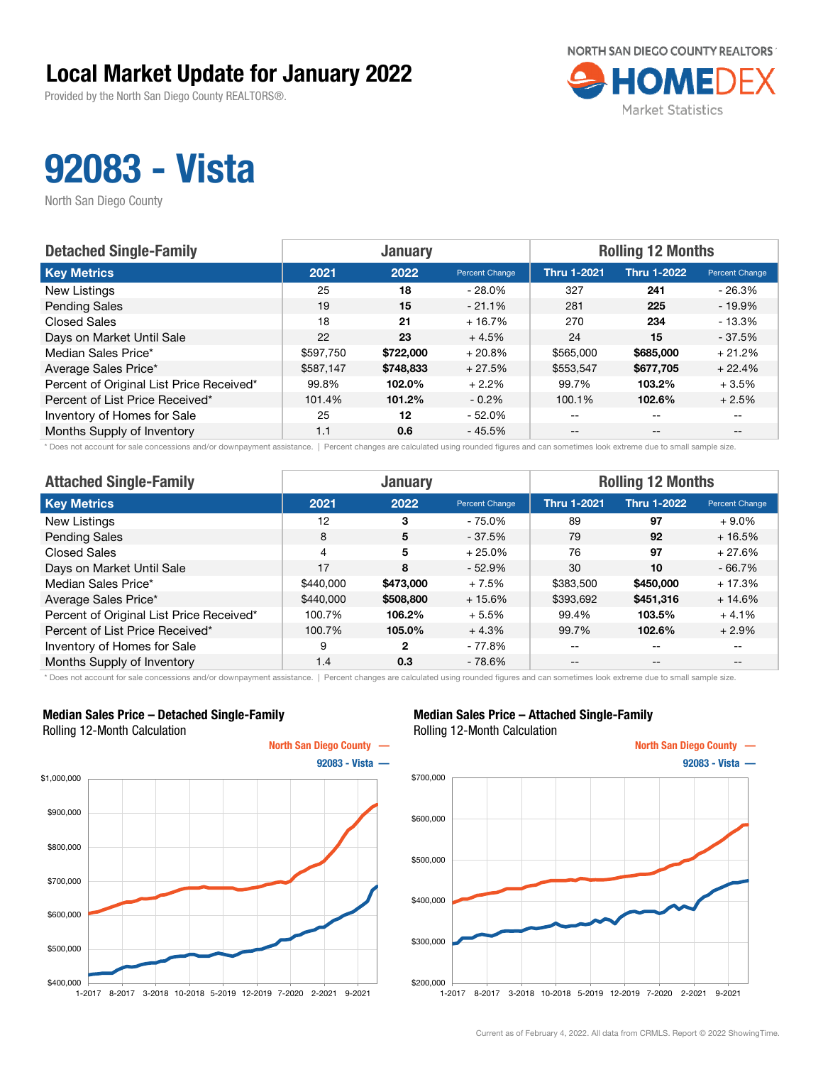Provided by the North San Diego County REALTORS®.



## 92083 - Vista

North San Diego County

| <b>Detached Single-Family</b>            | <b>January</b> |           |                | <b>Rolling 12 Months</b> |                    |                |  |
|------------------------------------------|----------------|-----------|----------------|--------------------------|--------------------|----------------|--|
| <b>Key Metrics</b>                       | 2021           | 2022      | Percent Change | <b>Thru 1-2021</b>       | <b>Thru 1-2022</b> | Percent Change |  |
| New Listings                             | 25             | 18        | $-28.0\%$      | 327                      | 241                | $-26.3%$       |  |
| <b>Pending Sales</b>                     | 19             | 15        | $-21.1%$       | 281                      | 225                | $-19.9%$       |  |
| <b>Closed Sales</b>                      | 18             | 21        | $+16.7%$       | 270                      | 234                | $-13.3%$       |  |
| Days on Market Until Sale                | 22             | 23        | $+4.5%$        | 24                       | 15                 | $-37.5%$       |  |
| Median Sales Price*                      | \$597,750      | \$722,000 | $+20.8%$       | \$565,000                | \$685,000          | $+21.2%$       |  |
| Average Sales Price*                     | \$587,147      | \$748,833 | $+27.5%$       | \$553,547                | \$677,705          | $+22.4%$       |  |
| Percent of Original List Price Received* | 99.8%          | 102.0%    | $+2.2%$        | 99.7%                    | 103.2%             | $+3.5%$        |  |
| Percent of List Price Received*          | 101.4%         | 101.2%    | $-0.2%$        | 100.1%                   | 102.6%             | $+2.5%$        |  |
| Inventory of Homes for Sale              | 25             | 12        | - 52.0%        | $- -$                    | $\qquad \qquad -$  |                |  |
| Months Supply of Inventory               | 1.1            | 0.6       | $-45.5%$       | $- -$                    | $- -$              |                |  |

\* Does not account for sale concessions and/or downpayment assistance. | Percent changes are calculated using rounded figures and can sometimes look extreme due to small sample size.

| <b>Attached Single-Family</b>            |                | <b>January</b> |                | <b>Rolling 12 Months</b> |                    |                |  |
|------------------------------------------|----------------|----------------|----------------|--------------------------|--------------------|----------------|--|
| <b>Key Metrics</b>                       | 2021           | 2022           | Percent Change | <b>Thru 1-2021</b>       | <b>Thru 1-2022</b> | Percent Change |  |
| New Listings                             | 12             | 3              | $-75.0\%$      | 89                       | 97                 | $+9.0\%$       |  |
| <b>Pending Sales</b>                     | 8              | 5              | $-37.5%$       | 79                       | 92                 | $+16.5%$       |  |
| <b>Closed Sales</b>                      | $\overline{4}$ | 5              | $+25.0%$       | 76                       | 97                 | $+27.6%$       |  |
| Days on Market Until Sale                | 17             | 8              | $-52.9%$       | 30                       | 10                 | $-66.7%$       |  |
| Median Sales Price*                      | \$440,000      | \$473,000      | $+7.5%$        | \$383,500                | \$450,000          | $+17.3%$       |  |
| Average Sales Price*                     | \$440,000      | \$508,800      | $+15.6%$       | \$393,692                | \$451,316          | $+14.6%$       |  |
| Percent of Original List Price Received* | 100.7%         | 106.2%         | $+5.5%$        | 99.4%                    | 103.5%             | $+4.1%$        |  |
| Percent of List Price Received*          | 100.7%         | 105.0%         | $+4.3%$        | 99.7%                    | 102.6%             | $+2.9%$        |  |
| Inventory of Homes for Sale              | 9              | 2              | - 77.8%        | --                       | $\qquad \qquad -$  | $- -$          |  |
| Months Supply of Inventory               | 1.4            | 0.3            | $-78.6%$       | $- -$                    | $\qquad \qquad -$  | $- -$          |  |

\* Does not account for sale concessions and/or downpayment assistance. | Percent changes are calculated using rounded figures and can sometimes look extreme due to small sample size.

#### Median Sales Price – Detached Single-Family Rolling 12-Month Calculation